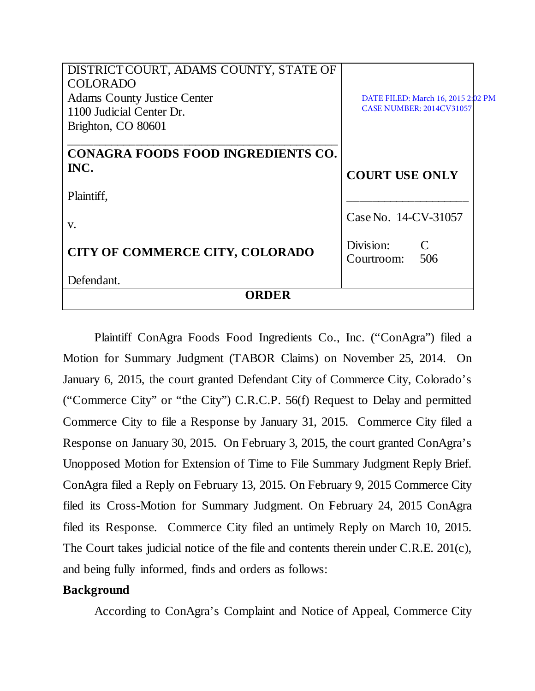| DISTRICT COURT, ADAMS COUNTY, STATE OF    |                                                 |
|-------------------------------------------|-------------------------------------------------|
| <b>COLORADO</b>                           |                                                 |
| <b>Adams County Justice Center</b>        | DATE FILED: March 16, 2015 2:02 PM              |
| 1100 Judicial Center Dr.                  | <b>CASE NUMBER: 2014CV31057</b>                 |
| Brighton, CO 80601                        |                                                 |
| <b>CONAGRA FOODS FOOD INGREDIENTS CO.</b> |                                                 |
| INC.                                      | <b>COURT USE ONLY</b>                           |
| Plaintiff,                                |                                                 |
| V.                                        | Case No. 14-CV-31057                            |
| CITY OF COMMERCE CITY, COLORADO           | Division:<br>$\mathcal{C}$<br>506<br>Courtroom: |
| Defendant.                                |                                                 |
| ORDER                                     |                                                 |

Plaintiff ConAgra Foods Food Ingredients Co., Inc. ("ConAgra") filed a Motion for Summary Judgment (TABOR Claims) on November 25, 2014. On January 6, 2015, the court granted Defendant City of Commerce City, Colorado's ("Commerce City" or "the City") C.R.C.P. 56(f) Request to Delay and permitted Commerce City to file a Response by January 31, 2015. Commerce City filed a Response on January 30, 2015. On February 3, 2015, the court granted ConAgra's Unopposed Motion for Extension of Time to File Summary Judgment Reply Brief. ConAgra filed a Reply on February 13, 2015. On February 9, 2015 Commerce City filed its Cross-Motion for Summary Judgment. On February 24, 2015 ConAgra filed its Response. Commerce City filed an untimely Reply on March 10, 2015. The Court takes judicial notice of the file and contents therein under C.R.E. 201(c), and being fully informed, finds and orders as follows:

## **Background**

According to ConAgra's Complaint and Notice of Appeal, Commerce City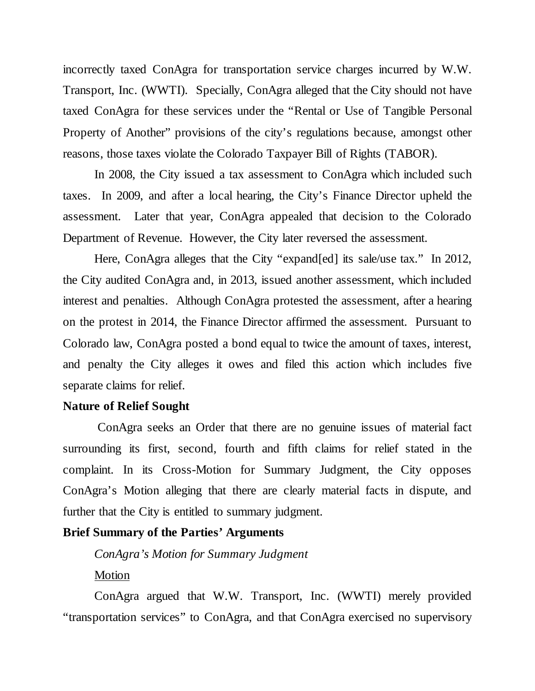incorrectly taxed ConAgra for transportation service charges incurred by W.W. Transport, Inc. (WWTI). Specially, ConAgra alleged that the City should not have taxed ConAgra for these services under the "Rental or Use of Tangible Personal Property of Another" provisions of the city's regulations because, amongst other reasons, those taxes violate the Colorado Taxpayer Bill of Rights (TABOR).

In 2008, the City issued a tax assessment to ConAgra which included such taxes. In 2009, and after a local hearing, the City's Finance Director upheld the assessment. Later that year, ConAgra appealed that decision to the Colorado Department of Revenue. However, the City later reversed the assessment.

Here, ConAgra alleges that the City "expand[ed] its sale/use tax." In 2012, the City audited ConAgra and, in 2013, issued another assessment, which included interest and penalties. Although ConAgra protested the assessment, after a hearing on the protest in 2014, the Finance Director affirmed the assessment. Pursuant to Colorado law, ConAgra posted a bond equal to twice the amount of taxes, interest, and penalty the City alleges it owes and filed this action which includes five separate claims for relief.

#### **Nature of Relief Sought**

ConAgra seeks an Order that there are no genuine issues of material fact surrounding its first, second, fourth and fifth claims for relief stated in the complaint. In its Cross-Motion for Summary Judgment, the City opposes ConAgra's Motion alleging that there are clearly material facts in dispute, and further that the City is entitled to summary judgment.

#### **Brief Summary of the Parties' Arguments**

*ConAgra's Motion for Summary Judgment*

### Motion

ConAgra argued that W.W. Transport, Inc. (WWTI) merely provided "transportation services" to ConAgra, and that ConAgra exercised no supervisory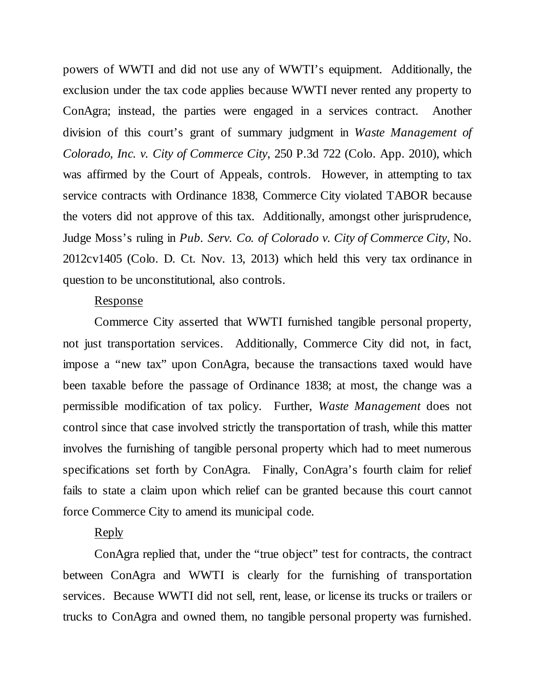powers of WWTI and did not use any of WWTI's equipment. Additionally, the exclusion under the tax code applies because WWTI never rented any property to ConAgra; instead, the parties were engaged in a services contract. Another division of this court's grant of summary judgment in *Waste Management of Colorado, Inc. v. City of Commerce City*, 250 P.3d 722 (Colo. App. 2010), which was affirmed by the Court of Appeals, controls. However, in attempting to tax service contracts with Ordinance 1838, Commerce City violated TABOR because the voters did not approve of this tax. Additionally, amongst other jurisprudence, Judge Moss's ruling in *Pub. Serv. Co. of Colorado v. City of Commerce City*, No. 2012cv1405 (Colo. D. Ct. Nov. 13, 2013) which held this very tax ordinance in question to be unconstitutional, also controls.

### Response

Commerce City asserted that WWTI furnished tangible personal property, not just transportation services. Additionally, Commerce City did not, in fact, impose a "new tax" upon ConAgra, because the transactions taxed would have been taxable before the passage of Ordinance 1838; at most, the change was a permissible modification of tax policy. Further, *Waste Management* does not control since that case involved strictly the transportation of trash, while this matter involves the furnishing of tangible personal property which had to meet numerous specifications set forth by ConAgra. Finally, ConAgra's fourth claim for relief fails to state a claim upon which relief can be granted because this court cannot force Commerce City to amend its municipal code.

#### Reply

ConAgra replied that, under the "true object" test for contracts, the contract between ConAgra and WWTI is clearly for the furnishing of transportation services. Because WWTI did not sell, rent, lease, or license its trucks or trailers or trucks to ConAgra and owned them, no tangible personal property was furnished.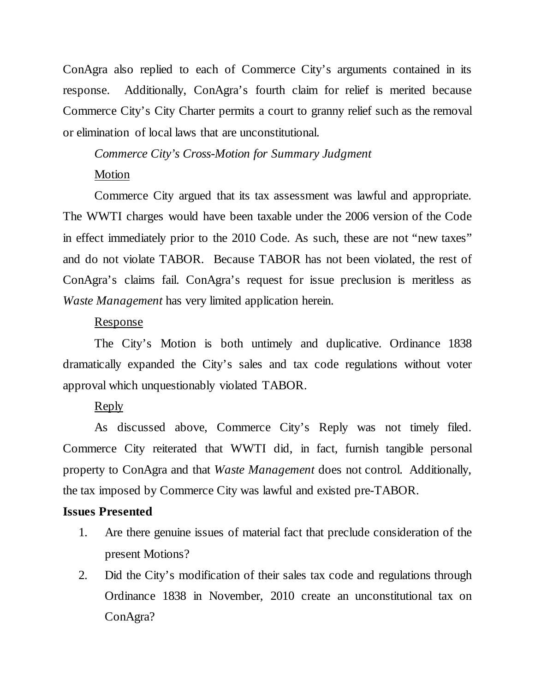ConAgra also replied to each of Commerce City's arguments contained in its response. Additionally, ConAgra's fourth claim for relief is merited because Commerce City's City Charter permits a court to granny relief such as the removal or elimination of local laws that are unconstitutional.

# *Commerce City's Cross-Motion for Summary Judgment* Motion

Commerce City argued that its tax assessment was lawful and appropriate. The WWTI charges would have been taxable under the 2006 version of the Code in effect immediately prior to the 2010 Code. As such, these are not "new taxes" and do not violate TABOR. Because TABOR has not been violated, the rest of ConAgra's claims fail. ConAgra's request for issue preclusion is meritless as *Waste Management* has very limited application herein.

## Response

The City's Motion is both untimely and duplicative. Ordinance 1838 dramatically expanded the City's sales and tax code regulations without voter approval which unquestionably violated TABOR.

## Reply

As discussed above, Commerce City's Reply was not timely filed. Commerce City reiterated that WWTI did, in fact, furnish tangible personal property to ConAgra and that *Waste Management* does not control. Additionally, the tax imposed by Commerce City was lawful and existed pre-TABOR.

## **Issues Presented**

- 1. Are there genuine issues of material fact that preclude consideration of the present Motions?
- 2. Did the City's modification of their sales tax code and regulations through Ordinance 1838 in November, 2010 create an unconstitutional tax on ConAgra?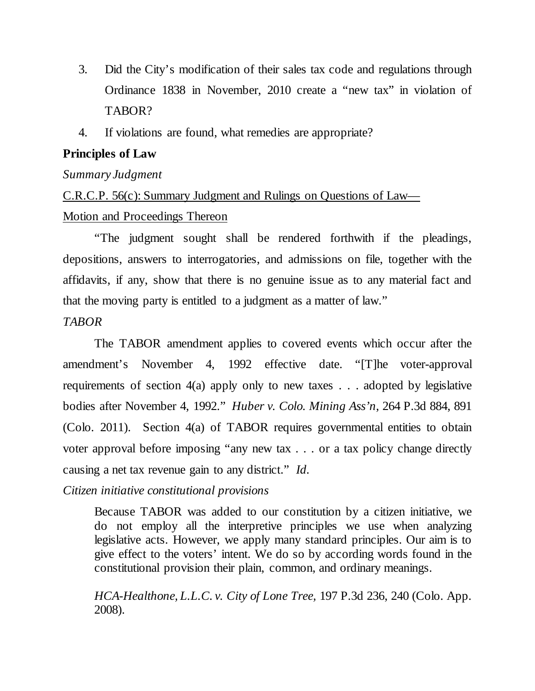- 3. Did the City's modification of their sales tax code and regulations through Ordinance 1838 in November, 2010 create a "new tax" in violation of TABOR?
- 4. If violations are found, what remedies are appropriate?

## **Principles of Law**

## *Summary Judgment*

# C.R.C.P. 56(c): Summary Judgment and Rulings on Questions of Law— Motion and Proceedings Thereon

"The judgment sought shall be rendered forthwith if the pleadings, depositions, answers to interrogatories, and admissions on file, together with the affidavits, if any, show that there is no genuine issue as to any material fact and that the moving party is entitled to a judgment as a matter of law."

## *TABOR*

The TABOR amendment applies to covered events which occur after the amendment's November 4, 1992 effective date. "[T]he voter-approval requirements of section 4(a) apply only to new taxes . . . adopted by legislative bodies after November 4, 1992." *Huber v. Colo. Mining Ass'n*, 264 P.3d 884, 891 (Colo. 2011). Section 4(a) of TABOR requires governmental entities to obtain voter approval before imposing "any new tax . . . or a tax policy change directly causing a net tax revenue gain to any district." *Id.*

## *Citizen initiative constitutional provisions*

Because TABOR was added to our constitution by a citizen initiative, we do not employ all the interpretive principles we use when analyzing legislative acts. However, we apply many standard principles. Our aim is to give effect to the voters' intent. We do so by according words found in the constitutional provision their plain, common, and ordinary meanings.

*HCA-Healthone, L.L.C. v. City of Lone Tree,* 197 P.3d 236, 240 (Colo. App. 2008).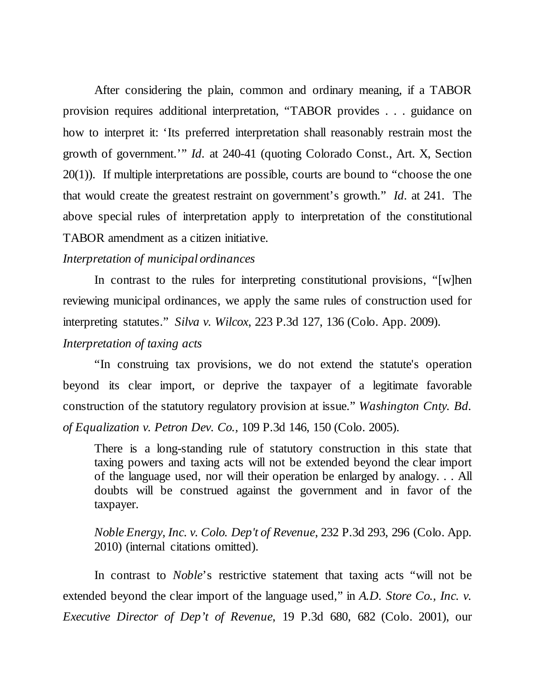After considering the plain, common and ordinary meaning, if a TABOR provision requires additional interpretation, "TABOR provides . . . guidance on how to interpret it: 'Its preferred interpretation shall reasonably restrain most the growth of government.'" *Id.* at 240-41 (quoting Colorado Const., Art. X, Section 20(1)). If multiple interpretations are possible, courts are bound to "choose the one that would create the greatest restraint on government's growth." *Id.* at 241. The above special rules of interpretation apply to interpretation of the constitutional TABOR amendment as a citizen initiative.

### *Interpretation of municipal ordinances*

In contrast to the rules for interpreting constitutional provisions, "[w]hen reviewing municipal ordinances, we apply the same rules of construction used for interpreting statutes." *Silva v. Wilcox*, 223 P.3d 127, 136 (Colo. App. 2009).

## *Interpretation of taxing acts*

"In construing tax provisions, we do not extend the statute's operation beyond its clear import, or deprive the taxpayer of a legitimate favorable construction of the statutory regulatory provision at issue." *Washington Cnty. Bd. of Equalization v. Petron Dev. Co.,* 109 P.3d 146, 150 (Colo. 2005).

There is a long-standing rule of statutory construction in this state that taxing powers and taxing acts will not be extended beyond the clear import of the language used, nor will their operation be enlarged by analogy. . . All doubts will be construed against the government and in favor of the taxpayer.

*Noble Energy, Inc. v. Colo. Dep't of Revenue*, 232 P.3d 293, 296 (Colo. App. 2010) (internal citations omitted).

In contrast to *Noble*'s restrictive statement that taxing acts "will not be extended beyond the clear import of the language used," in *A.D. Store Co., Inc. v. Executive Director of Dep't of Revenue*, 19 P.3d 680, 682 (Colo. 2001), our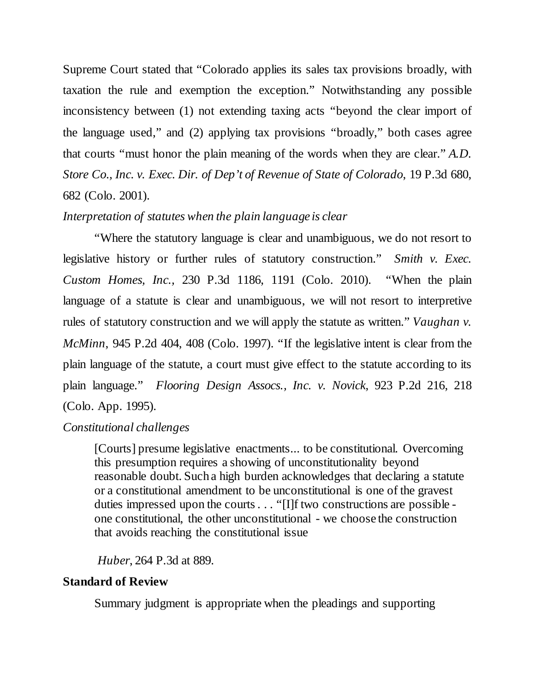Supreme Court stated that "Colorado applies its sales tax provisions broadly, with taxation the rule and exemption the exception." Notwithstanding any possible inconsistency between (1) not extending taxing acts "beyond the clear import of the language used," and (2) applying tax provisions "broadly," both cases agree that courts "must honor the plain meaning of the words when they are clear." *A.D. Store Co*.*, Inc. v. Exec. Dir. of Dep't of Revenue of State of Colorado*, 19 P.3d 680, 682 (Colo. 2001).

## *Interpretation of statutes when the plain language is clear*

"Where the statutory language is clear and unambiguous, we do not resort to legislative history or further rules of statutory construction." *Smith v. Exec. Custom Homes, Inc.,* 230 P.3d 1186, 1191 (Colo. 2010). "When the plain language of a statute is clear and unambiguous, we will not resort to interpretive rules of statutory construction and we will apply the statute as written." *Vaughan v. McMinn*, 945 P.2d 404, 408 (Colo. 1997). "If the legislative intent is clear from the plain language of the statute, a court must give effect to the statute according to its plain language." *Flooring Design Assocs., Inc. v. Novick*, 923 P.2d 216, 218 (Colo. App. 1995).

## *Constitutional challenges*

[Courts] presume legislative enactments... to be constitutional. Overcoming this presumption requires a showing of unconstitutionality beyond reasonable doubt. Such a high burden acknowledges that declaring a statute or a constitutional amendment to be unconstitutional is one of the gravest duties impressed upon the courts . . . "[I]f two constructions are possible one constitutional, the other unconstitutional - we choose the construction that avoids reaching the constitutional issue

## *Huber*, 264 P.3d at 889.

## **Standard of Review**

Summary judgment is appropriate when the pleadings and supporting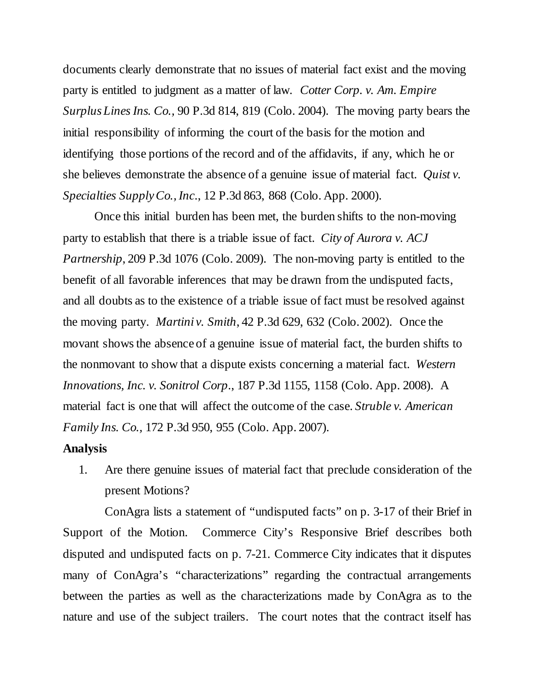documents clearly demonstrate that no issues of material fact exist and the moving party is entitled to judgment as a matter of law. *Cotter Corp. v. Am. Empire Surplus Lines Ins. Co.,* 90 P.3d 814, 819 (Colo. 2004). The moving party bears the initial responsibility of informing the court of the basis for the motion and identifying those portions of the record and of the affidavits, if any, which he or she believes demonstrate the absence of a genuine issue of material fact. *Quist v. Specialties Supply Co., Inc*., 12 P.3d 863, 868 (Colo. App. 2000).

Once this initial burden has been met, the burden shifts to the non-moving party to establish that there is a triable issue of fact. *City of Aurora v. ACJ Partnership*, 209 P.3d 1076 (Colo. 2009). The non-moving party is entitled to the benefit of all favorable inferences that may be drawn from the undisputed facts, and all doubts as to the existence of a triable issue of fact must be resolved against the moving party. *Martini v. Smith*, 42 P.3d 629, 632 (Colo. 2002). Once the movant shows the absence of a genuine issue of material fact, the burden shifts to the nonmovant to show that a dispute exists concerning a material fact. *Western Innovations, Inc. v. Sonitrol Corp*., 187 P.3d 1155, 1158 (Colo. App. 2008). A material fact is one that will affect the outcome of the case. *Struble v. American Family Ins. Co.,* 172 P.3d 950, 955 (Colo. App. 2007).

#### **Analysis**

1. Are there genuine issues of material fact that preclude consideration of the present Motions?

ConAgra lists a statement of "undisputed facts" on p. 3-17 of their Brief in Support of the Motion. Commerce City's Responsive Brief describes both disputed and undisputed facts on p. 7-21. Commerce City indicates that it disputes many of ConAgra's "characterizations" regarding the contractual arrangements between the parties as well as the characterizations made by ConAgra as to the nature and use of the subject trailers. The court notes that the contract itself has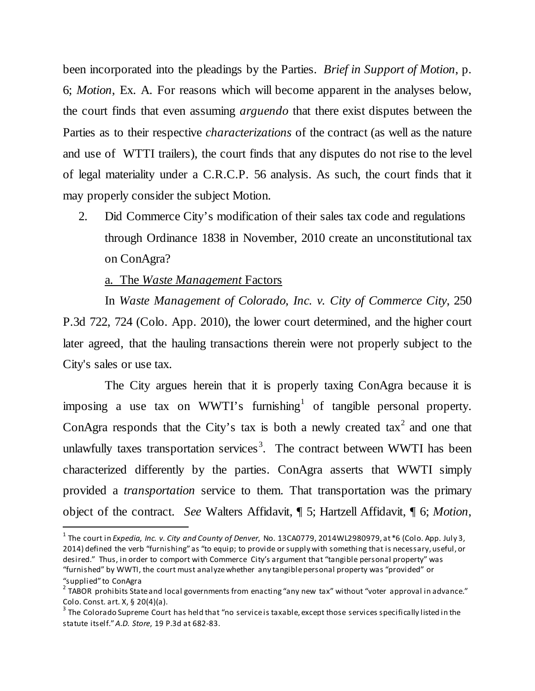been incorporated into the pleadings by the Parties. *Brief in Support of Motion*, p. 6; *Motion*, Ex. A. For reasons which will become apparent in the analyses below, the court finds that even assuming *arguendo* that there exist disputes between the Parties as to their respective *characterizations* of the contract (as well as the nature and use of WTTI trailers), the court finds that any disputes do not rise to the level of legal materiality under a C.R.C.P. 56 analysis. As such, the court finds that it may properly consider the subject Motion.

2. Did Commerce City's modification of their sales tax code and regulations through Ordinance 1838 in November, 2010 create an unconstitutional tax on ConAgra?

## a. The *Waste Management* Factors

In *Waste Management of Colorado, Inc. v. City of Commerce City*, 250 P.3d 722, 724 (Colo. App. 2010), the lower court determined, and the higher court later agreed, that the hauling transactions therein were not properly subject to the City's sales or use tax.

The City argues herein that it is properly taxing ConAgra because it is imposing a use tax on WWTI's furnishing<sup>[1](#page-8-0)</sup> of tangible personal property. ConAgra responds that the City's tax is both a newly created  $\arctan^2$  $\arctan^2$  and one that unlawfully taxes transportation services<sup>[3](#page-8-2)</sup>. The contract between WWTI has been characterized differently by the parties. ConAgra asserts that WWTI simply provided a *transportation* service to them. That transportation was the primary object of the contract. *See* Walters Affidavit, ¶ 5; Hartzell Affidavit, ¶ 6; *Motion*,

<span id="page-8-0"></span> <sup>1</sup> The court in *Expedia, Inc. v. City and County of Denver*, No. 13CA0779, 2014WL2980979, at \*6 (Colo. App. July 3, 2014) defined the verb "furnishing" as "to equip; to provide or supply with something that is necessary, useful, or desired." Thus, in order to comport with Commerce City's argument that "tangible personal property" was "furnished" by WWTI, the court must analyze whether any tangible personal property was "provided" or "supplied" to ConAgra

<span id="page-8-1"></span> $2$  TABOR prohibits State and local governments from enacting "any new tax" without "voter approval in advance." Colo. Const. art. X, § 20(4)(a).

<span id="page-8-2"></span> $3$  The Colorado Supreme Court has held that "no service is taxable, except those services specifically listed in the statute itself." *A.D. Store*, 19 P.3d at 682-83.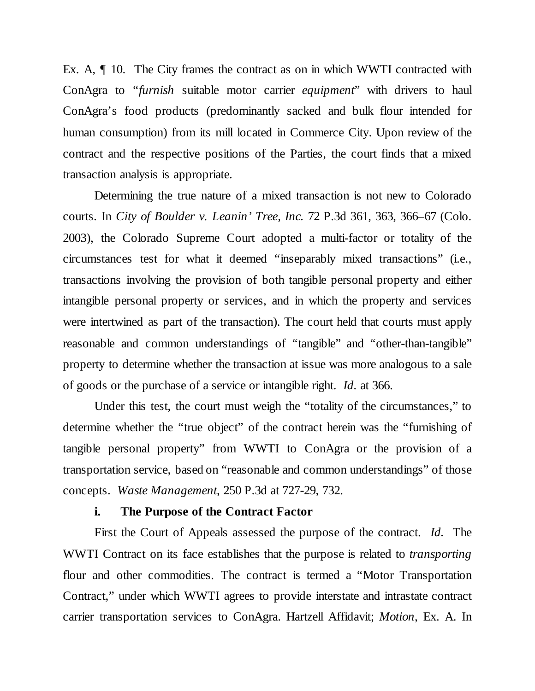Ex. A, ¶ 10. The City frames the contract as on in which WWTI contracted with ConAgra to "*furnish* suitable motor carrier *equipment*" with drivers to haul ConAgra's food products (predominantly sacked and bulk flour intended for human consumption) from its mill located in Commerce City. Upon review of the contract and the respective positions of the Parties, the court finds that a mixed transaction analysis is appropriate.

Determining the true nature of a mixed transaction is not new to Colorado courts. In *City of Boulder v. Leanin' Tree, Inc.* 72 P.3d 361, 363, 366–67 (Colo. 2003), the Colorado Supreme Court adopted a multi-factor or totality of the circumstances test for what it deemed "inseparably mixed transactions" (i.e., transactions involving the provision of both tangible personal property and either intangible personal property or services, and in which the property and services were intertwined as part of the transaction). The court held that courts must apply reasonable and common understandings of "tangible" and "other-than-tangible" property to determine whether the transaction at issue was more analogous to a sale of goods or the purchase of a service or intangible right. *Id.* at 366.

Under this test, the court must weigh the "totality of the circumstances," to determine whether the "true object" of the contract herein was the "furnishing of tangible personal property" from WWTI to ConAgra or the provision of a transportation service, based on "reasonable and common understandings" of those concepts. *Waste Management*, 250 P.3d at 727-29, 732.

#### **i. The Purpose of the Contract Factor**

First the Court of Appeals assessed the purpose of the contract. *Id.* The WWTI Contract on its face establishes that the purpose is related to *transporting* flour and other commodities. The contract is termed a "Motor Transportation Contract," under which WWTI agrees to provide interstate and intrastate contract carrier transportation services to ConAgra. Hartzell Affidavit; *Motion*, Ex. A. In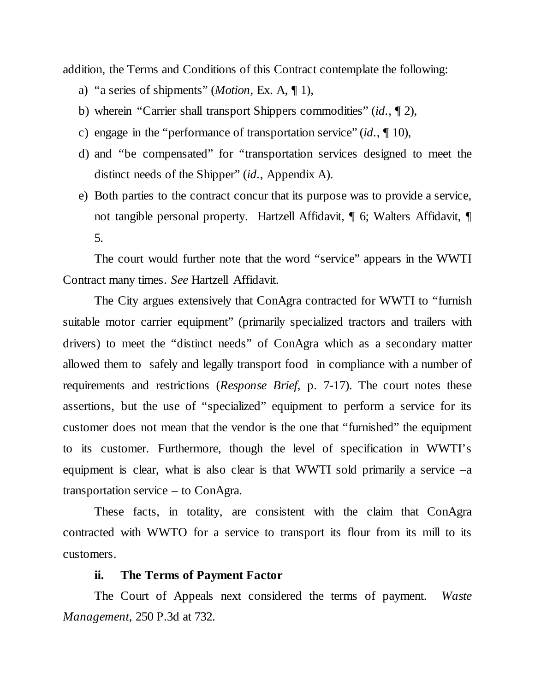addition, the Terms and Conditions of this Contract contemplate the following:

- a) "a series of shipments" (*Motion*, Ex. A, ¶ 1),
- b) wherein "Carrier shall transport Shippers commodities" (*id.*, ¶ 2),
- c) engage in the "performance of transportation service" (*id.*, ¶ 10),
- d) and "be compensated" for "transportation services designed to meet the distinct needs of the Shipper" (*id.*, Appendix A).
- e) Both parties to the contract concur that its purpose was to provide a service, not tangible personal property. Hartzell Affidavit, ¶ 6; Walters Affidavit, ¶ 5.

The court would further note that the word "service" appears in the WWTI Contract many times. *See* Hartzell Affidavit.

The City argues extensively that ConAgra contracted for WWTI to "furnish suitable motor carrier equipment" (primarily specialized tractors and trailers with drivers) to meet the "distinct needs" of ConAgra which as a secondary matter allowed them to safely and legally transport food in compliance with a number of requirements and restrictions (*Response Brief*, p. 7-17). The court notes these assertions, but the use of "specialized" equipment to perform a service for its customer does not mean that the vendor is the one that "furnished" the equipment to its customer. Furthermore, though the level of specification in WWTI's equipment is clear, what is also clear is that WWTI sold primarily a service  $-a$ transportation service – to ConAgra.

These facts, in totality, are consistent with the claim that ConAgra contracted with WWTO for a service to transport its flour from its mill to its customers.

#### **ii. The Terms of Payment Factor**

The Court of Appeals next considered the terms of payment. *Waste Management*, 250 P.3d at 732.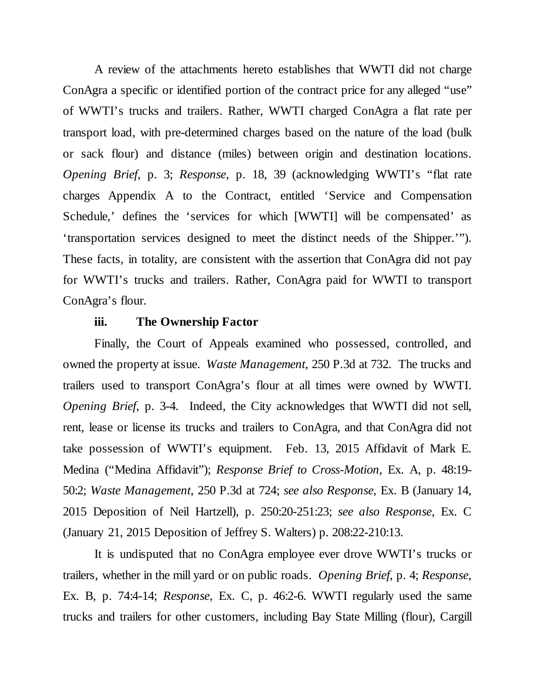A review of the attachments hereto establishes that WWTI did not charge ConAgra a specific or identified portion of the contract price for any alleged "use" of WWTI's trucks and trailers. Rather, WWTI charged ConAgra a flat rate per transport load, with pre-determined charges based on the nature of the load (bulk or sack flour) and distance (miles) between origin and destination locations. *Opening Brief*, p. 3; *Response*, p. 18, 39 (acknowledging WWTI's "flat rate charges Appendix A to the Contract, entitled 'Service and Compensation Schedule,' defines the 'services for which [WWTI] will be compensated' as 'transportation services designed to meet the distinct needs of the Shipper.'"). These facts, in totality, are consistent with the assertion that ConAgra did not pay for WWTI's trucks and trailers. Rather, ConAgra paid for WWTI to transport ConAgra's flour.

## **iii. The Ownership Factor**

Finally, the Court of Appeals examined who possessed, controlled, and owned the property at issue. *Waste Management*, 250 P.3d at 732. The trucks and trailers used to transport ConAgra's flour at all times were owned by WWTI. *Opening Brief*, p. 3-4. Indeed, the City acknowledges that WWTI did not sell, rent, lease or license its trucks and trailers to ConAgra, and that ConAgra did not take possession of WWTI's equipment. Feb. 13, 2015 Affidavit of Mark E. Medina ("Medina Affidavit"); *Response Brief to Cross-Motion*, Ex. A, p. 48:19- 50:2; *Waste Management*, 250 P.3d at 724; *see also Response*, Ex. B (January 14, 2015 Deposition of Neil Hartzell), p. 250:20-251:23; *see also Response*, Ex. C (January 21, 2015 Deposition of Jeffrey S. Walters) p. 208:22-210:13.

It is undisputed that no ConAgra employee ever drove WWTI's trucks or trailers, whether in the mill yard or on public roads. *Opening Brief*, p. 4; *Response*, Ex. B, p. 74:4-14; *Response*, Ex. C, p. 46:2-6. WWTI regularly used the same trucks and trailers for other customers, including Bay State Milling (flour), Cargill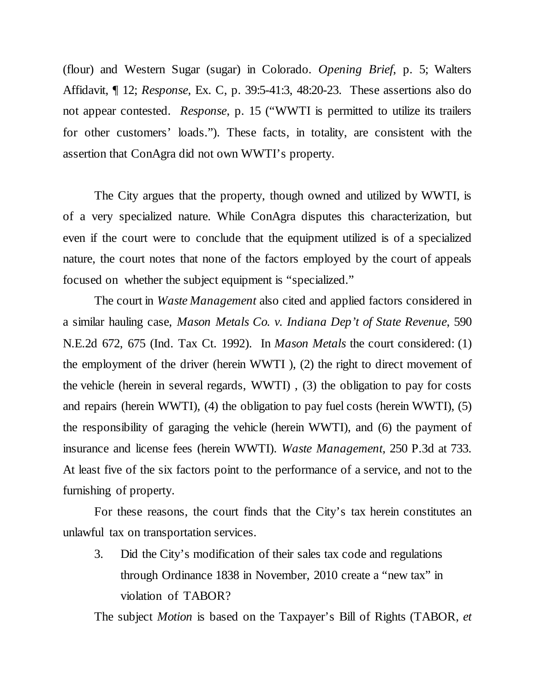(flour) and Western Sugar (sugar) in Colorado. *Opening Brief*, p. 5; Walters Affidavit, ¶ 12; *Response*, Ex. C, p. 39:5-41:3, 48:20-23. These assertions also do not appear contested. *Response*, p. 15 ("WWTI is permitted to utilize its trailers for other customers' loads."). These facts, in totality, are consistent with the assertion that ConAgra did not own WWTI's property.

The City argues that the property, though owned and utilized by WWTI, is of a very specialized nature. While ConAgra disputes this characterization, but even if the court were to conclude that the equipment utilized is of a specialized nature, the court notes that none of the factors employed by the court of appeals focused on whether the subject equipment is "specialized."

The court in *Waste Management* also cited and applied factors considered in a similar hauling case, *Mason Metals Co. v. Indiana Dep't of State Revenue*, 590 N.E.2d 672, 675 (Ind. Tax Ct. 1992). In *Mason Metals* the court considered: (1) the employment of the driver (herein WWTI ), (2) the right to direct movement of the vehicle (herein in several regards, WWTI) , (3) the obligation to pay for costs and repairs (herein WWTI), (4) the obligation to pay fuel costs (herein WWTI), (5) the responsibility of garaging the vehicle (herein WWTI), and (6) the payment of insurance and license fees (herein WWTI). *Waste Management,* 250 P.3d at 733. At least five of the six factors point to the performance of a service, and not to the furnishing of property.

For these reasons, the court finds that the City's tax herein constitutes an unlawful tax on transportation services.

3. Did the City's modification of their sales tax code and regulations through Ordinance 1838 in November, 2010 create a "new tax" in violation of TABOR?

The subject *Motion* is based on the Taxpayer's Bill of Rights (TABOR, *et*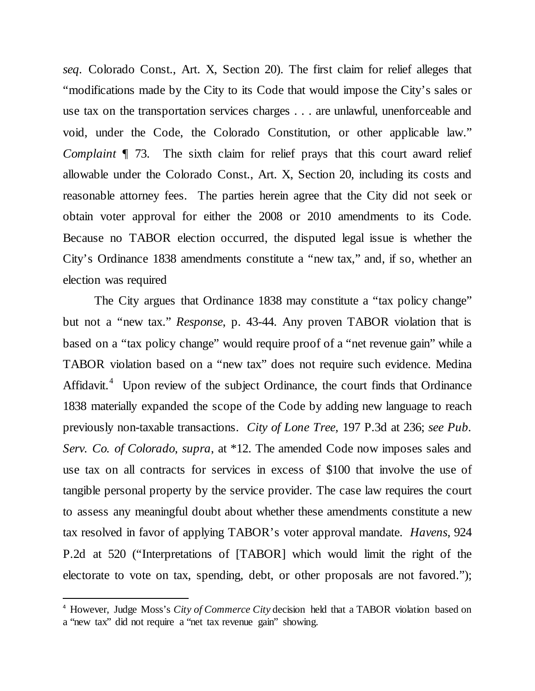*seq.* Colorado Const., Art. X, Section 20). The first claim for relief alleges that "modifications made by the City to its Code that would impose the City's sales or use tax on the transportation services charges . . . are unlawful, unenforceable and void, under the Code, the Colorado Constitution, or other applicable law." *Complaint*  $\P$  73. The sixth claim for relief prays that this court award relief allowable under the Colorado Const., Art. X, Section 20, including its costs and reasonable attorney fees. The parties herein agree that the City did not seek or obtain voter approval for either the 2008 or 2010 amendments to its Code. Because no TABOR election occurred, the disputed legal issue is whether the City's Ordinance 1838 amendments constitute a "new tax," and, if so, whether an election was required

The City argues that Ordinance 1838 may constitute a "tax policy change" but not a "new tax." *Response*, p. 43-44. Any proven TABOR violation that is based on a "tax policy change" would require proof of a "net revenue gain" while a TABOR violation based on a "new tax" does not require such evidence. Medina Affidavit.<sup>[4](#page-13-0)</sup> Upon review of the subject Ordinance, the court finds that Ordinance 1838 materially expanded the scope of the Code by adding new language to reach previously non-taxable transactions. *City of Lone Tree,* 197 P.3d at 236; *see Pub. Serv. Co. of Colorado*, *supra*, at \*12. The amended Code now imposes sales and use tax on all contracts for services in excess of \$100 that involve the use of tangible personal property by the service provider. The case law requires the court to assess any meaningful doubt about whether these amendments constitute a new tax resolved in favor of applying TABOR's voter approval mandate. *Havens*, 924 P.2d at 520 ("Interpretations of [TABOR] which would limit the right of the electorate to vote on tax, spending, debt, or other proposals are not favored.");

<span id="page-13-0"></span> <sup>4</sup> However, Judge Moss's *City of Commerce City* decision held that a TABOR violation based on a "new tax" did not require a "net tax revenue gain" showing.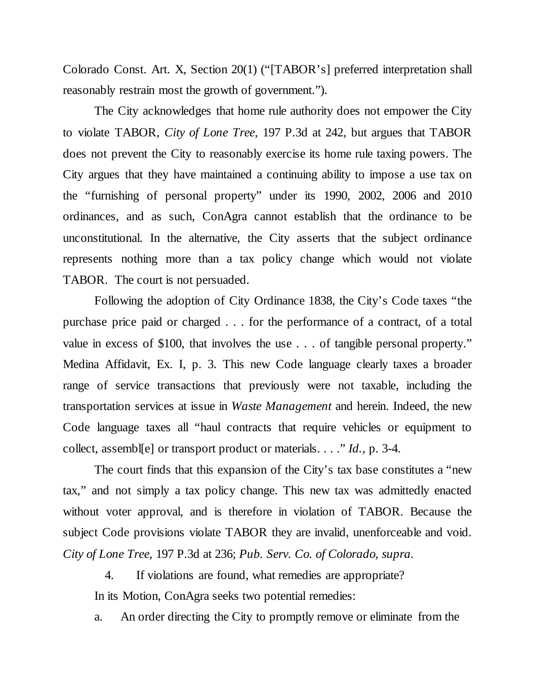Colorado Const. Art. X, Section 20(1) ("[TABOR's] preferred interpretation shall reasonably restrain most the growth of government.").

The City acknowledges that home rule authority does not empower the City to violate TABOR, *City of Lone Tree*, 197 P.3d at 242, but argues that TABOR does not prevent the City to reasonably exercise its home rule taxing powers. The City argues that they have maintained a continuing ability to impose a use tax on the "furnishing of personal property" under its 1990, 2002, 2006 and 2010 ordinances, and as such, ConAgra cannot establish that the ordinance to be unconstitutional. In the alternative, the City asserts that the subject ordinance represents nothing more than a tax policy change which would not violate TABOR. The court is not persuaded.

Following the adoption of City Ordinance 1838, the City's Code taxes "the purchase price paid or charged . . . for the performance of a contract, of a total value in excess of \$100, that involves the use . . . of tangible personal property." Medina Affidavit, Ex. I, p. 3. This new Code language clearly taxes a broader range of service transactions that previously were not taxable, including the transportation services at issue in *Waste Management* and herein. Indeed, the new Code language taxes all "haul contracts that require vehicles or equipment to collect, assembl[e] or transport product or materials. . . ." *Id.*, p. 3-4.

The court finds that this expansion of the City's tax base constitutes a "new tax," and not simply a tax policy change. This new tax was admittedly enacted without voter approval, and is therefore in violation of TABOR. Because the subject Code provisions violate TABOR they are invalid, unenforceable and void. *City of Lone Tree*, 197 P.3d at 236; *Pub. Serv. Co. of Colorado*, *supra.*

4. If violations are found, what remedies are appropriate? In its Motion, ConAgra seeks two potential remedies:

a. An order directing the City to promptly remove or eliminate from the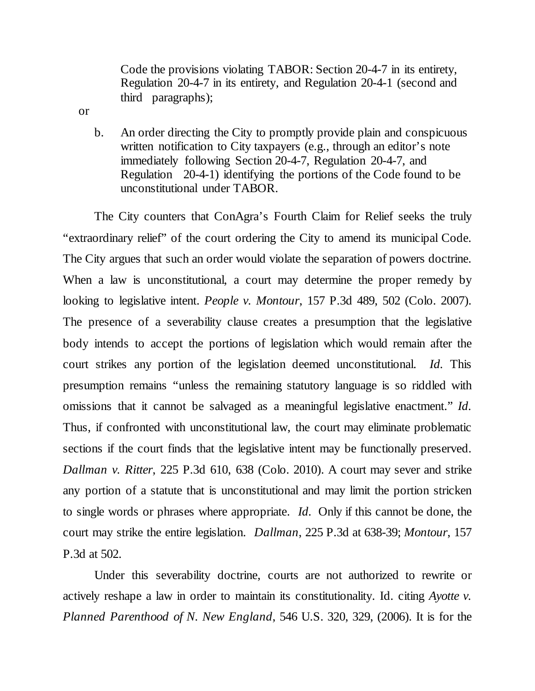Code the provisions violating TABOR: Section 20-4-7 in its entirety, Regulation 20-4-7 in its entirety, and Regulation 20-4-1 (second and third paragraphs);

or

b. An order directing the City to promptly provide plain and conspicuous written notification to City taxpayers (e.g., through an editor's note immediately following Section 20-4-7, Regulation 20-4-7, and Regulation 20-4-1) identifying the portions of the Code found to be unconstitutional under TABOR.

The City counters that ConAgra's Fourth Claim for Relief seeks the truly "extraordinary relief" of the court ordering the City to amend its municipal Code. The City argues that such an order would violate the separation of powers doctrine. When a law is unconstitutional, a court may determine the proper remedy by looking to legislative intent. *People v. Montour*, 157 P.3d 489, 502 (Colo. 2007). The presence of a severability clause creates a presumption that the legislative body intends to accept the portions of legislation which would remain after the court strikes any portion of the legislation deemed unconstitutional. *Id.* This presumption remains "unless the remaining statutory language is so riddled with omissions that it cannot be salvaged as a meaningful legislative enactment." *Id.* Thus, if confronted with unconstitutional law, the court may eliminate problematic sections if the court finds that the legislative intent may be functionally preserved. *Dallman v. Ritter*, 225 P.3d 610, 638 (Colo. 2010). A court may sever and strike any portion of a statute that is unconstitutional and may limit the portion stricken to single words or phrases where appropriate. *Id.* Only if this cannot be done, the court may strike the entire legislation. *Dallman*, 225 P.3d at 638-39; *Montour*, 157 P.3d at 502.

Under this severability doctrine, courts are not authorized to rewrite or actively reshape a law in order to maintain its constitutionality. Id. citing *Ayotte v. Planned Parenthood of N. New England*, 546 U.S. 320, 329, (2006). It is for the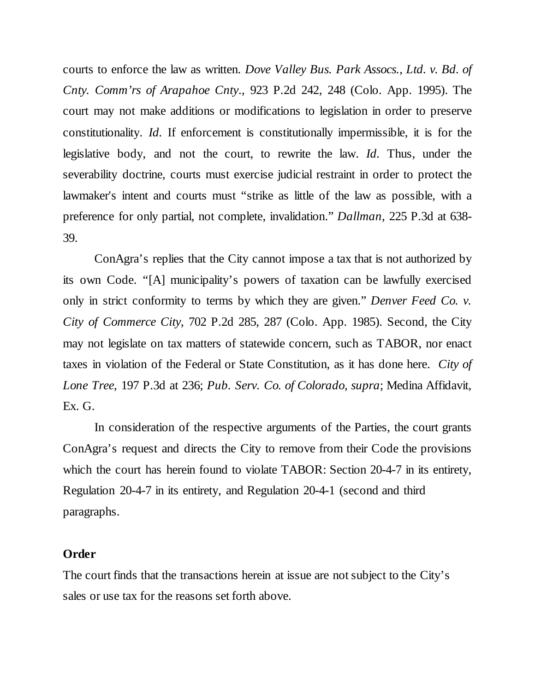courts to enforce the law as written. *Dove Valley Bus. Park Assocs.*, *Ltd. v. Bd. of Cnty. Comm'rs of Arapahoe Cnty*., 923 P.2d 242, 248 (Colo. App. 1995). The court may not make additions or modifications to legislation in order to preserve constitutionality. *Id.* If enforcement is constitutionally impermissible, it is for the legislative body, and not the court, to rewrite the law. *Id.* Thus, under the severability doctrine, courts must exercise judicial restraint in order to protect the lawmaker's intent and courts must "strike as little of the law as possible, with a preference for only partial, not complete, invalidation." *Dallman*, 225 P.3d at 638- 39.

ConAgra's replies that the City cannot impose a tax that is not authorized by its own Code. "[A] municipality's powers of taxation can be lawfully exercised only in strict conformity to terms by which they are given." *Denver Feed Co. v. City of Commerce City*, 702 P.2d 285, 287 (Colo. App. 1985). Second, the City may not legislate on tax matters of statewide concern, such as TABOR, nor enact taxes in violation of the Federal or State Constitution, as it has done here. *City of Lone Tree*, 197 P.3d at 236; *Pub. Serv. Co. of Colorado*, *supra*; Medina Affidavit, Ex. G.

In consideration of the respective arguments of the Parties, the court grants ConAgra's request and directs the City to remove from their Code the provisions which the court has herein found to violate TABOR: Section 20-4-7 in its entirety, Regulation 20-4-7 in its entirety, and Regulation 20-4-1 (second and third paragraphs.

#### **Order**

The court finds that the transactions herein at issue are not subject to the City's sales or use tax for the reasons set forth above.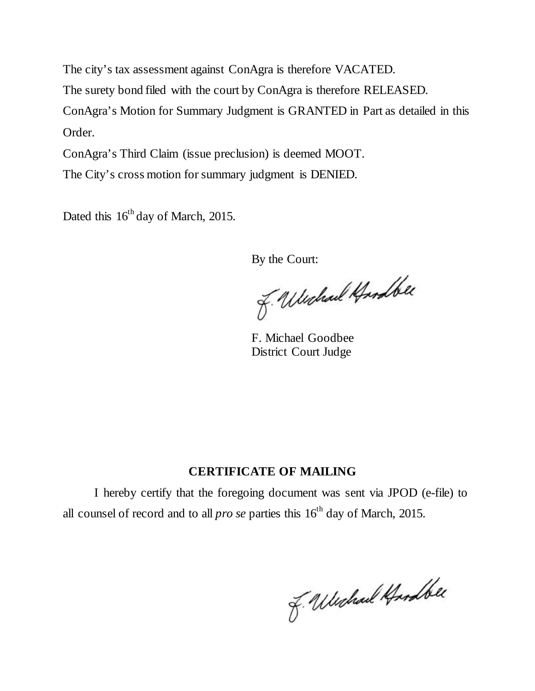The city's tax assessment against ConAgra is therefore VACATED. The surety bond filed with the court by ConAgra is therefore RELEASED. ConAgra's Motion for Summary Judgment is GRANTED in Part as detailed in this Order.

ConAgra's Third Claim (issue preclusion) is deemed MOOT.

The City's cross motion for summary judgment is DENIED.

Dated this  $16^{th}$  day of March, 2015.

By the Court:

J. Wushall Hundber

 F. Michael Goodbee District Court Judge

# **CERTIFICATE OF MAILING**

I hereby certify that the foregoing document was sent via JPOD (e-file) to all counsel of record and to all *pro se* parties this  $16<sup>th</sup>$  day of March, 2015.

J. Weshall Hundber